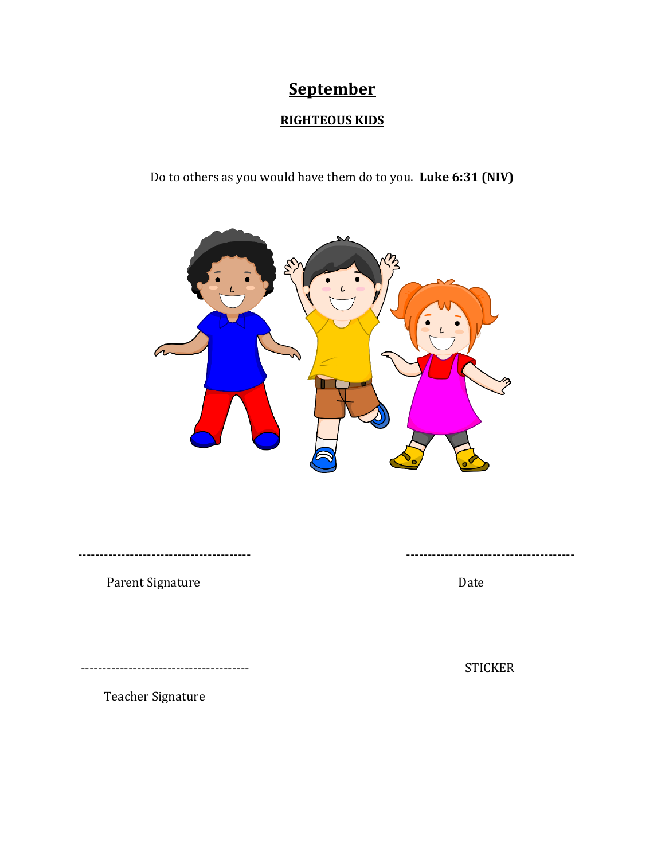# **September**

### **RIGHTEOUS KIDS**

Do to others as you would have them do to you. **Luke 6:31 (NIV)**



---------------------------------------- ---------------------------------------

Parent Signature Date

--------------------------------------- STICKER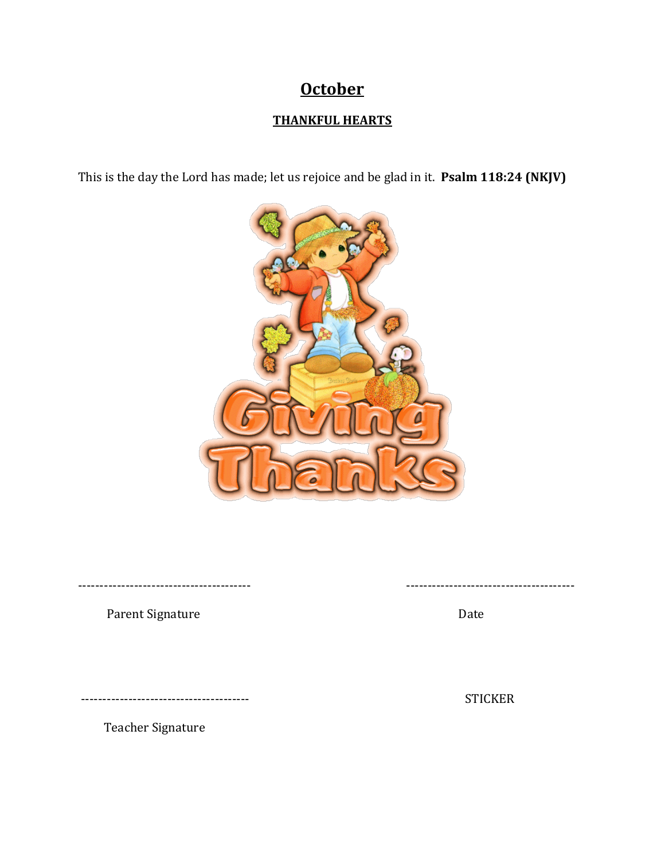## **October**

### **THANKFUL HEARTS**

This is the day the Lord has made; let us rejoice and be glad in it. **Psalm 118:24 (NKJV)**



---------------------------------------- ---------------------------------------

Parent Signature Date

--------------------------------------- STICKER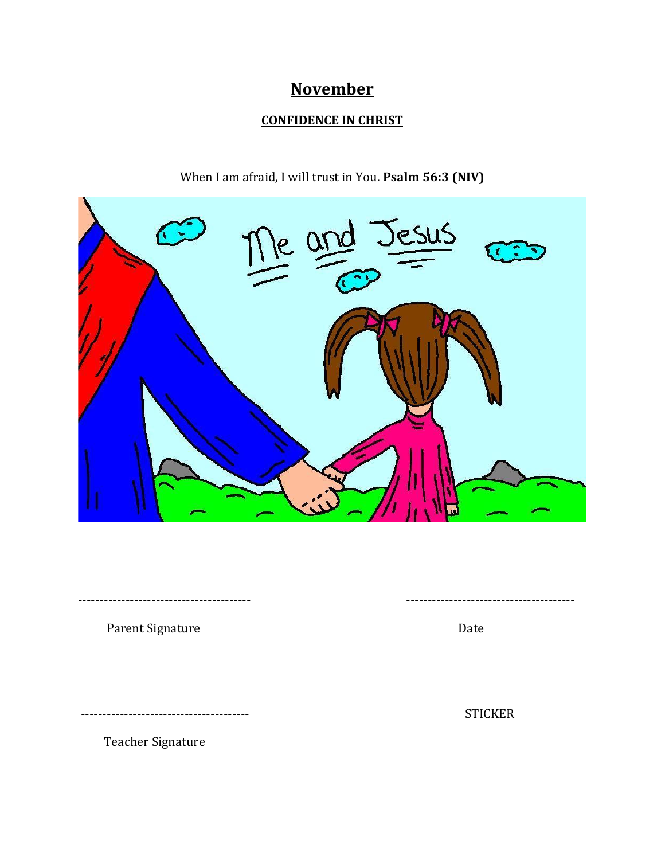## **November**

### **CONFIDENCE IN CHRIST**



---------------------------------------- ---------------------------------------

When I am afraid, I will trust in You. **Psalm 56:3 (NIV)**

Parent Signature Date

--------------------------------------- STICKER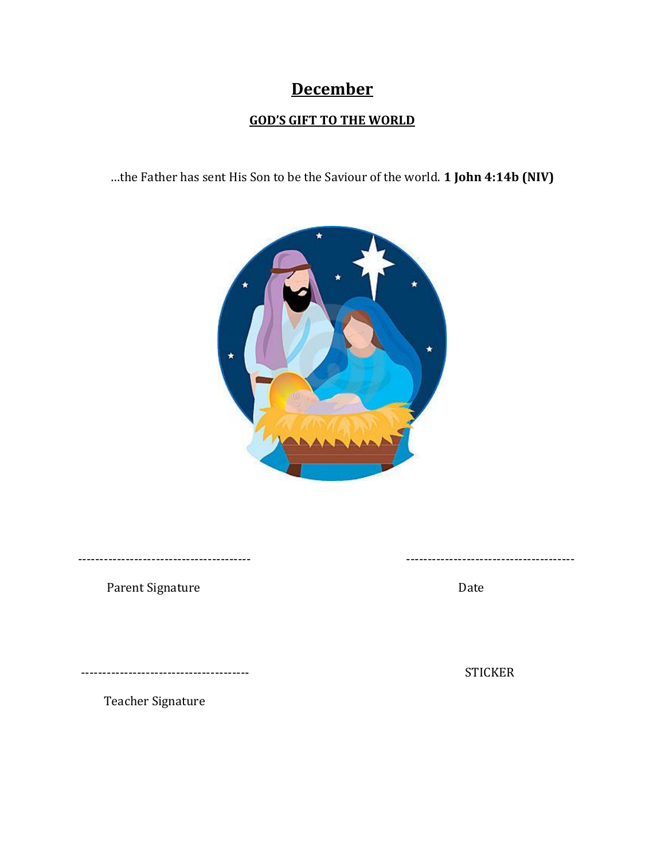## **December**

## **GOD'S GIFT TO THE WORLD**

…the Father has sent His Son to be the Saviour of the world. **1 John 4:14b (NIV)**



Parent Signature Date

---------------------------------------- ---------------------------------------

--------------------------------------- STICKER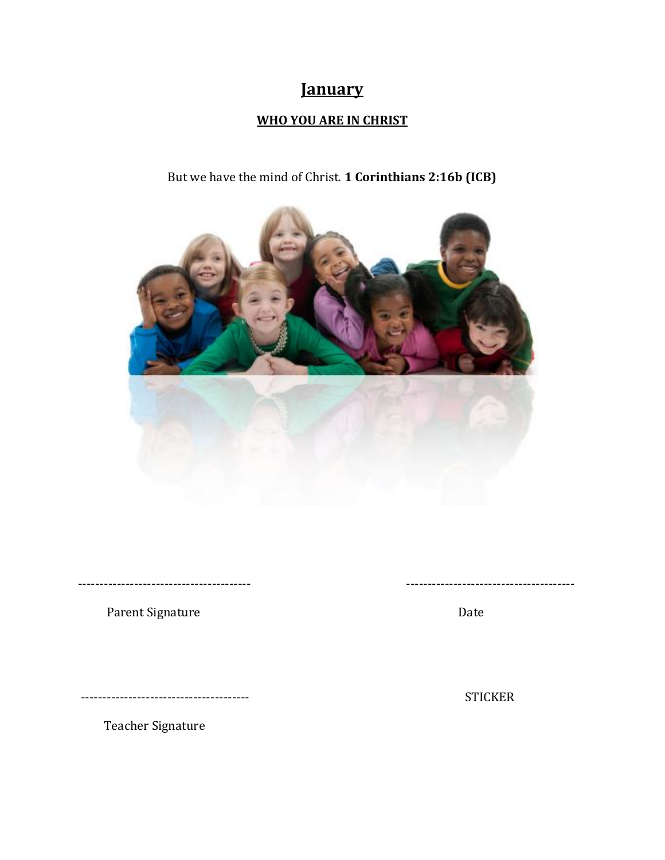## **January**

### **WHO YOU ARE IN CHRIST**

## But we have the mind of Christ. **1 Corinthians 2:16b (ICB)**



Parent Signature Date

--------------------------------------- STICKER

Teacher Signature

---------------------------------------- ---------------------------------------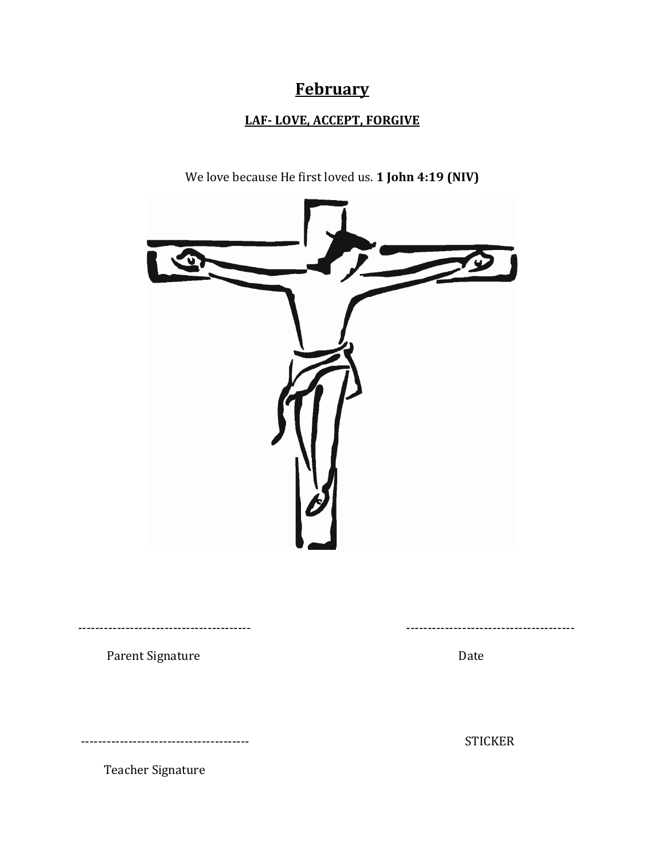## **February**

### **LAF- LOVE, ACCEPT, FORGIVE**

We love because He first loved us. **1 John 4:19 (NIV)** ---------------------------------------- --------------------------------------- Parent Signature Date

--------------------------------------- STICKER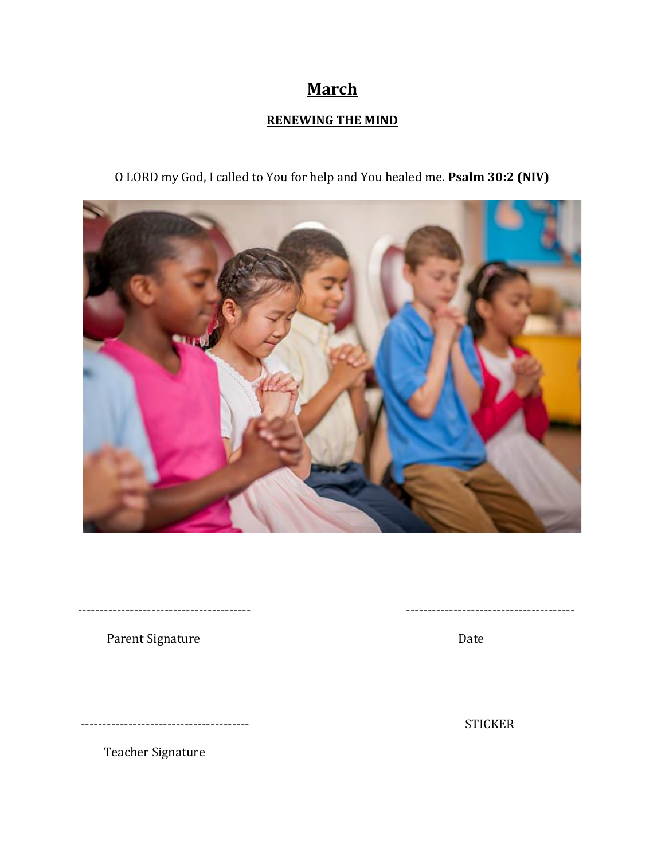## **March**

### **RENEWING THE MIND**

O LORD my God, I called to You for help and You healed me. **Psalm 30:2 (NIV)**



Parent Signature Date

--------------------------------------- STICKER

Teacher Signature

---------------------------------------- ---------------------------------------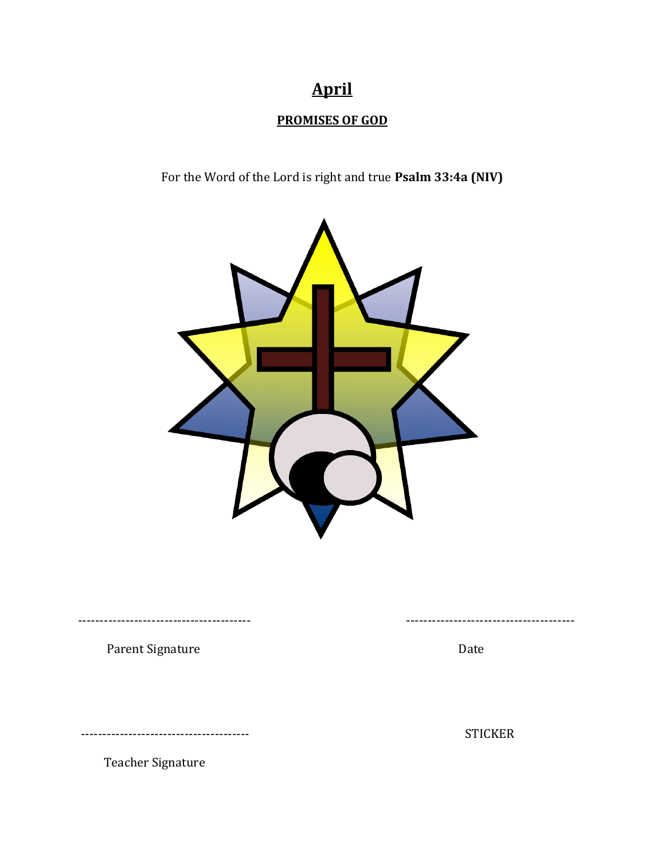# **April**

## **PROMISES OF GOD**

For the Word of the Lord is right and true **Psalm 33:4a (NIV)**



---------------------------------------- ---------------------------------------

Parent Signature Date

--------------------------------------- STICKER